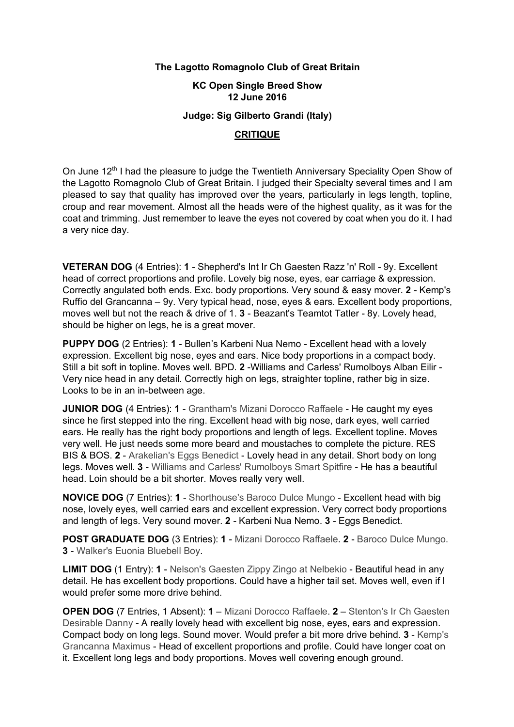## **The Lagotto Romagnolo Club of Great Britain**

## **KC Open Single Breed Show 12 June 2016**

## **Judge: Sig Gilberto Grandi (Italy)**

## **CRITIQUE**

On June 12<sup>th</sup> I had the pleasure to judge the Twentieth Anniversary Speciality Open Show of the Lagotto Romagnolo Club of Great Britain. I judged their Specialty several times and I am pleased to say that quality has improved over the years, particularly in legs length, topline, croup and rear movement. Almost all the heads were of the highest quality, as it was for the coat and trimming. Just remember to leave the eyes not covered by coat when you do it. I had a very nice day.

**VETERAN DOG** (4 Entries): **1** - Shepherd's Int Ir Ch Gaesten Razz 'n' Roll - 9y. Excellent head of correct proportions and profile. Lovely big nose, eyes, ear carriage & expression. Correctly angulated both ends. Exc. body proportions. Very sound & easy mover. **2** - Kemp's Ruffio del Grancanna – 9y. Very typical head, nose, eyes & ears. Excellent body proportions, moves well but not the reach & drive of 1. **3** - Beazant's Teamtot Tatler - 8y. Lovely head, should be higher on legs, he is a great mover.

**PUPPY DOG** (2 Entries): **1** - Bullen's Karbeni Nua Nemo - Excellent head with a lovely expression. Excellent big nose, eyes and ears. Nice body proportions in a compact body. Still a bit soft in topline. Moves well. BPD. **2** -Williams and Carless' Rumolboys Alban Eilir - Very nice head in any detail. Correctly high on legs, straighter topline, rather big in size. Looks to be in an in-between age.

**JUNIOR DOG** (4 Entries): **1** - Grantham's Mizani Dorocco Raffaele - He caught my eyes since he first stepped into the ring. Excellent head with big nose, dark eyes, well carried ears. He really has the right body proportions and length of legs. Excellent topline. Moves very well. He just needs some more beard and moustaches to complete the picture. RES BIS & BOS. **2** - Arakelian's Eggs Benedict - Lovely head in any detail. Short body on long legs. Moves well. **3** - Williams and Carless' Rumolboys Smart Spitfire - He has a beautiful head. Loin should be a bit shorter. Moves really very well.

**NOVICE DOG** (7 Entries): **1** - Shorthouse's Baroco Dulce Mungo - Excellent head with big nose, lovely eyes, well carried ears and excellent expression. Very correct body proportions and length of legs. Very sound mover. **2** - Karbeni Nua Nemo. **3** - Eggs Benedict.

**POST GRADUATE DOG** (3 Entries): **1** - Mizani Dorocco Raffaele. **2** - Baroco Dulce Mungo. **3** - Walker's Euonia Bluebell Boy.

**LIMIT DOG** (1 Entry): **1** - Nelson's Gaesten Zippy Zingo at Nelbekio - Beautiful head in any detail. He has excellent body proportions. Could have a higher tail set. Moves well, even if I would prefer some more drive behind.

**OPEN DOG** (7 Entries, 1 Absent): **1** – Mizani Dorocco Raffaele. **2** – Stenton's Ir Ch Gaesten Desirable Danny - A really lovely head with excellent big nose, eyes, ears and expression. Compact body on long legs. Sound mover. Would prefer a bit more drive behind. **3** - Kemp's Grancanna Maximus - Head of excellent proportions and profile. Could have longer coat on it. Excellent long legs and body proportions. Moves well covering enough ground.